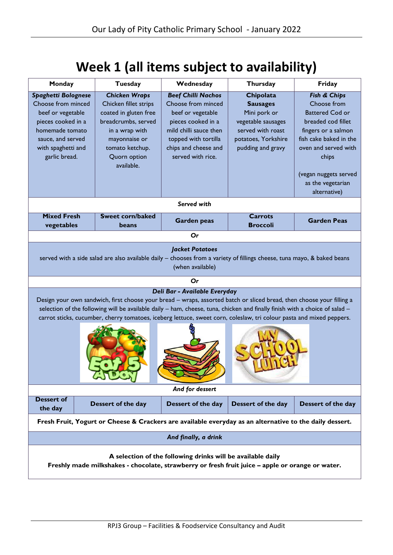## **Week 1 (all items subject to availability)**

| Monday                                                                                                                                                                                                                                                                                                                                                                                                                       | Tuesday                                                                                                                                                                           | Wednesday                                                                                                                                                                                 | Thursday                                                                                                                                   | Friday                                                                                                                                                                                                                      |  |  |  |  |
|------------------------------------------------------------------------------------------------------------------------------------------------------------------------------------------------------------------------------------------------------------------------------------------------------------------------------------------------------------------------------------------------------------------------------|-----------------------------------------------------------------------------------------------------------------------------------------------------------------------------------|-------------------------------------------------------------------------------------------------------------------------------------------------------------------------------------------|--------------------------------------------------------------------------------------------------------------------------------------------|-----------------------------------------------------------------------------------------------------------------------------------------------------------------------------------------------------------------------------|--|--|--|--|
| <b>Spaghetti Bolognese</b><br>Choose from minced<br>beef or vegetable<br>pieces cooked in a<br>homemade tomato<br>sauce, and served<br>with spaghetti and<br>garlic bread.                                                                                                                                                                                                                                                   | <b>Chicken Wraps</b><br>Chicken fillet strips<br>coated in gluten free<br>breadcrumbs, served<br>in a wrap with<br>mayonnaise or<br>tomato ketchup.<br>Quorn option<br>available. | <b>Beef Chilli Nachos</b><br>Choose from minced<br>beef or vegetable<br>pieces cooked in a<br>mild chilli sauce then<br>topped with tortilla<br>chips and cheese and<br>served with rice. | <b>Chipolata</b><br><b>Sausages</b><br>Mini pork or<br>vegetable sausages<br>served with roast<br>potatoes, Yorkshire<br>pudding and gravy | Fish & Chips<br>Choose from<br><b>Battered Cod or</b><br>breaded cod fillet<br>fingers or a salmon<br>fish cake baked in the<br>oven and served with<br>chips<br>(vegan nuggets served<br>as the vegetarian<br>alternative) |  |  |  |  |
| Served with                                                                                                                                                                                                                                                                                                                                                                                                                  |                                                                                                                                                                                   |                                                                                                                                                                                           |                                                                                                                                            |                                                                                                                                                                                                                             |  |  |  |  |
| <b>Mixed Fresh</b><br>vegetables                                                                                                                                                                                                                                                                                                                                                                                             | <b>Sweet corn/baked</b><br>beans                                                                                                                                                  | <b>Garden peas</b>                                                                                                                                                                        | <b>Carrots</b><br><b>Broccoli</b>                                                                                                          | <b>Garden Peas</b>                                                                                                                                                                                                          |  |  |  |  |
|                                                                                                                                                                                                                                                                                                                                                                                                                              |                                                                                                                                                                                   | Or                                                                                                                                                                                        |                                                                                                                                            |                                                                                                                                                                                                                             |  |  |  |  |
| <b>Jacket Potatoes</b><br>served with a side salad are also available daily - chooses from a variety of fillings cheese, tuna mayo, & baked beans<br>(when available)                                                                                                                                                                                                                                                        |                                                                                                                                                                                   |                                                                                                                                                                                           |                                                                                                                                            |                                                                                                                                                                                                                             |  |  |  |  |
|                                                                                                                                                                                                                                                                                                                                                                                                                              |                                                                                                                                                                                   | Or                                                                                                                                                                                        |                                                                                                                                            |                                                                                                                                                                                                                             |  |  |  |  |
| Deli Bar - Available Everyday<br>Design your own sandwich, first choose your bread - wraps, assorted batch or sliced bread, then choose your filling a<br>selection of the following will be available daily - ham, cheese, tuna, chicken and finally finish with a choice of salad -<br>carrot sticks, cucumber, cherry tomatoes, iceberg lettuce, sweet corn, coleslaw, tri colour pasta and mixed peppers.<br><b>ANDE</b> |                                                                                                                                                                                   |                                                                                                                                                                                           |                                                                                                                                            |                                                                                                                                                                                                                             |  |  |  |  |
| And for dessert                                                                                                                                                                                                                                                                                                                                                                                                              |                                                                                                                                                                                   |                                                                                                                                                                                           |                                                                                                                                            |                                                                                                                                                                                                                             |  |  |  |  |
| <b>Dessert of</b><br>the day                                                                                                                                                                                                                                                                                                                                                                                                 | Dessert of the day                                                                                                                                                                | Dessert of the day                                                                                                                                                                        | Dessert of the day                                                                                                                         | Dessert of the day                                                                                                                                                                                                          |  |  |  |  |
| Fresh Fruit, Yogurt or Cheese & Crackers are available everyday as an alternative to the daily dessert.                                                                                                                                                                                                                                                                                                                      |                                                                                                                                                                                   |                                                                                                                                                                                           |                                                                                                                                            |                                                                                                                                                                                                                             |  |  |  |  |
| And finally, a drink                                                                                                                                                                                                                                                                                                                                                                                                         |                                                                                                                                                                                   |                                                                                                                                                                                           |                                                                                                                                            |                                                                                                                                                                                                                             |  |  |  |  |
| A selection of the following drinks will be available daily<br>Freshly made milkshakes - chocolate, strawberry or fresh fruit juice - apple or orange or water.                                                                                                                                                                                                                                                              |                                                                                                                                                                                   |                                                                                                                                                                                           |                                                                                                                                            |                                                                                                                                                                                                                             |  |  |  |  |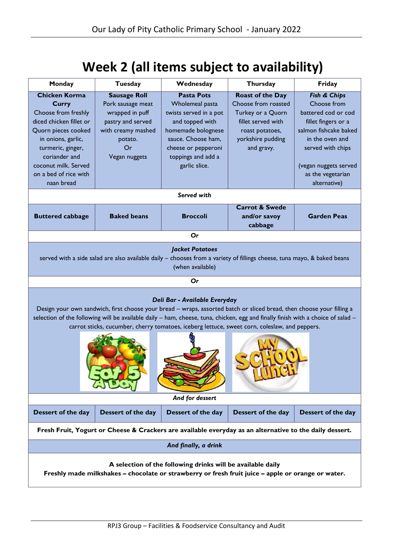## **Week 2 (all items subject to availability)**

| Monday                                                                                                                                                                                                                                                                                                                                                                                      | Tuesday                                                                                                                                  | Wednesday                                                                                                                                                                                   | Thursday                                                                                                                                        | Friday                                                                                                                                                                                   |  |  |  |
|---------------------------------------------------------------------------------------------------------------------------------------------------------------------------------------------------------------------------------------------------------------------------------------------------------------------------------------------------------------------------------------------|------------------------------------------------------------------------------------------------------------------------------------------|---------------------------------------------------------------------------------------------------------------------------------------------------------------------------------------------|-------------------------------------------------------------------------------------------------------------------------------------------------|------------------------------------------------------------------------------------------------------------------------------------------------------------------------------------------|--|--|--|
| <b>Chicken Korma</b><br><b>Curry</b><br>Choose from freshly<br>diced chicken fillet or<br>Quorn pieces cooked<br>in onions, garlic,<br>turmeric, ginger,<br>coriander and<br>coconut milk. Served<br>on a bed of rice with                                                                                                                                                                  | <b>Sausage Roll</b><br>Pork sausage meat<br>wrapped in puff<br>pastry and served<br>with creamy mashed<br>potato.<br>Or<br>Vegan nuggets | <b>Pasta Pots</b><br>Wholemeal pasta<br>twists served in a pot<br>and topped with<br>homemade bolognese<br>sauce. Choose ham,<br>cheese or pepperoni<br>toppings and add a<br>garlic slice. | <b>Roast of the Day</b><br>Choose from roasted<br>Turkey or a Quorn<br>fillet served with<br>roast potatoes,<br>yorkshire pudding<br>and gravy. | Fish & Chips<br>Choose from<br>battered cod or cod<br>fillet fingers or a<br>salmon fishcake baked<br>in the oven and<br>served with chips<br>(vegan nuggets served<br>as the vegetarian |  |  |  |
| naan bread                                                                                                                                                                                                                                                                                                                                                                                  |                                                                                                                                          | Served with                                                                                                                                                                                 |                                                                                                                                                 | alternative)                                                                                                                                                                             |  |  |  |
| <b>Buttered cabbage</b>                                                                                                                                                                                                                                                                                                                                                                     | <b>Baked beans</b>                                                                                                                       | <b>Broccoli</b>                                                                                                                                                                             | <b>Carrot &amp; Swede</b><br>and/or savoy<br>cabbage                                                                                            | <b>Garden Peas</b>                                                                                                                                                                       |  |  |  |
|                                                                                                                                                                                                                                                                                                                                                                                             |                                                                                                                                          | Or                                                                                                                                                                                          |                                                                                                                                                 |                                                                                                                                                                                          |  |  |  |
| <b>Jacket Potatoes</b><br>served with a side salad are also available daily $-$ chooses from a variety of fillings cheese, tuna mayo, $\&$ baked beans<br>(when available)                                                                                                                                                                                                                  |                                                                                                                                          |                                                                                                                                                                                             |                                                                                                                                                 |                                                                                                                                                                                          |  |  |  |
|                                                                                                                                                                                                                                                                                                                                                                                             |                                                                                                                                          | Or                                                                                                                                                                                          |                                                                                                                                                 |                                                                                                                                                                                          |  |  |  |
| Deli Bar - Available Everyday<br>Design your own sandwich, first choose your bread - wraps, assorted batch or sliced bread, then choose your filling a<br>selection of the following will be available daily - ham, cheese, tuna, chicken, egg and finally finish with a choice of salad -<br>carrot sticks, cucumber, cherry tomatoes, iceberg lettuce, sweet corn, coleslaw, and peppers. |                                                                                                                                          |                                                                                                                                                                                             |                                                                                                                                                 |                                                                                                                                                                                          |  |  |  |
| And for dessert                                                                                                                                                                                                                                                                                                                                                                             |                                                                                                                                          |                                                                                                                                                                                             |                                                                                                                                                 |                                                                                                                                                                                          |  |  |  |
| Dessert of the day                                                                                                                                                                                                                                                                                                                                                                          | Dessert of the day                                                                                                                       | Dessert of the day                                                                                                                                                                          | Dessert of the day                                                                                                                              | Dessert of the day                                                                                                                                                                       |  |  |  |
| Fresh Fruit, Yogurt or Cheese & Crackers are available everyday as an alternative to the daily dessert.                                                                                                                                                                                                                                                                                     |                                                                                                                                          |                                                                                                                                                                                             |                                                                                                                                                 |                                                                                                                                                                                          |  |  |  |
| And finally, a drink                                                                                                                                                                                                                                                                                                                                                                        |                                                                                                                                          |                                                                                                                                                                                             |                                                                                                                                                 |                                                                                                                                                                                          |  |  |  |
| A selection of the following drinks will be available daily<br>Freshly made milkshakes - chocolate or strawberry or fresh fruit juice - apple or orange or water.                                                                                                                                                                                                                           |                                                                                                                                          |                                                                                                                                                                                             |                                                                                                                                                 |                                                                                                                                                                                          |  |  |  |